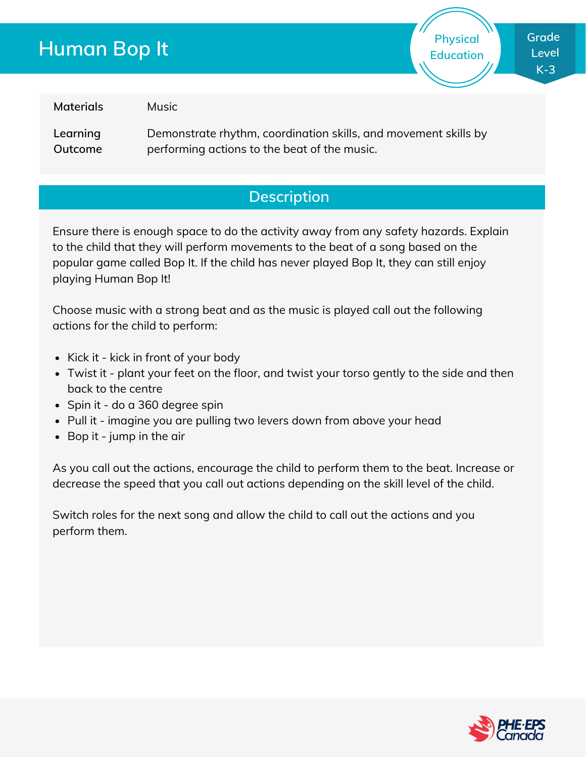# **Human Bop It**

**Grade Level K-3**

**Physical Education**

**Materials**

Music

**Learning Outcome** Demonstrate rhythm, coordination skills, and movement skills by performing actions to the beat of the music.

### **Description**

Ensure there is enough space to do the activity away from any safety hazards. Explain to the child that they will perform movements to the beat of a song based on the popular game called Bop It. If the child has never played Bop It, they can still enjoy playing Human Bop It!

Choose music with a strong beat and as the music is played call out the following actions for the child to perform:

- Kick it kick in front of your body
- Twist it plant your feet on the floor, and twist your torso gently to the side and then back to the centre
- Spin it do a 360 degree spin
- Pull it imagine you are pulling two levers down from above your head
- Bop it jump in the air

As you call out the actions, encourage the child to perform them to the beat. Increase or decrease the speed that you call out actions depending on the skill level of the child.

Switch roles for the next song and allow the child to call out the actions and you perform them.